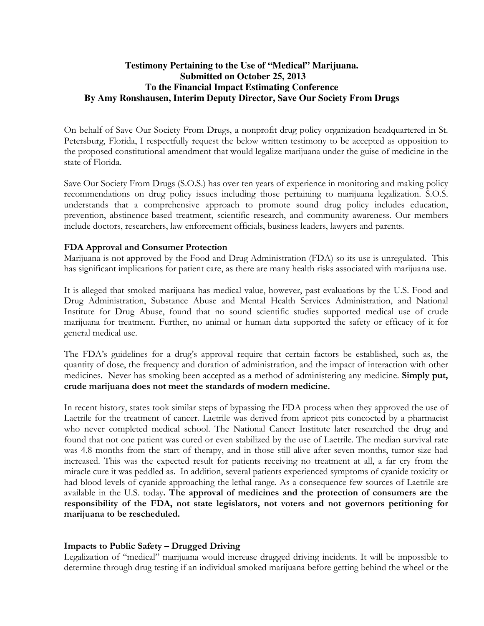# **Testimony Pertaining to the Use of "Medical" Marijuana. Submitted on October 25, 2013 To the Financial Impact Estimating Conference By Amy Ronshausen, Interim Deputy Director, Save Our Society From Drugs**

On behalf of Save Our Society From Drugs, a nonprofit drug policy organization headquartered in St. Petersburg, Florida, I respectfully request the below written testimony to be accepted as opposition to the proposed constitutional amendment that would legalize marijuana under the guise of medicine in the state of Florida.

Save Our Society From Drugs (S.O.S.) has over ten years of experience in monitoring and making policy recommendations on drug policy issues including those pertaining to marijuana legalization. S.O.S. understands that a comprehensive approach to promote sound drug policy includes education, prevention, abstinence-based treatment, scientific research, and community awareness. Our members include doctors, researchers, law enforcement officials, business leaders, lawyers and parents.

### FDA Approval and Consumer Protection

Marijuana is not approved by the Food and Drug Administration (FDA) so its use is unregulated. This has significant implications for patient care, as there are many health risks associated with marijuana use.

It is alleged that smoked marijuana has medical value, however, past evaluations by the U.S. Food and Drug Administration, Substance Abuse and Mental Health Services Administration, and National Institute for Drug Abuse, found that no sound scientific studies supported medical use of crude marijuana for treatment. Further, no animal or human data supported the safety or efficacy of it for general medical use.

The FDA's guidelines for a drug's approval require that certain factors be established, such as, the quantity of dose, the frequency and duration of administration, and the impact of interaction with other medicines. Never has smoking been accepted as a method of administering any medicine. Simply put, crude marijuana does not meet the standards of modern medicine.

In recent history, states took similar steps of bypassing the FDA process when they approved the use of Laetrile for the treatment of cancer. Laetrile was derived from apricot pits concocted by a pharmacist who never completed medical school. The National Cancer Institute later researched the drug and found that not one patient was cured or even stabilized by the use of Laetrile. The median survival rate was 4.8 months from the start of therapy, and in those still alive after seven months, tumor size had increased. This was the expected result for patients receiving no treatment at all, a far cry from the miracle cure it was peddled as. In addition, several patients experienced symptoms of cyanide toxicity or had blood levels of cyanide approaching the lethal range. As a consequence few sources of Laetrile are available in the U.S. today. The approval of medicines and the protection of consumers are the responsibility of the FDA, not state legislators, not voters and not governors petitioning for marijuana to be rescheduled.

## Impacts to Public Safety – Drugged Driving

Legalization of "medical" marijuana would increase drugged driving incidents. It will be impossible to determine through drug testing if an individual smoked marijuana before getting behind the wheel or the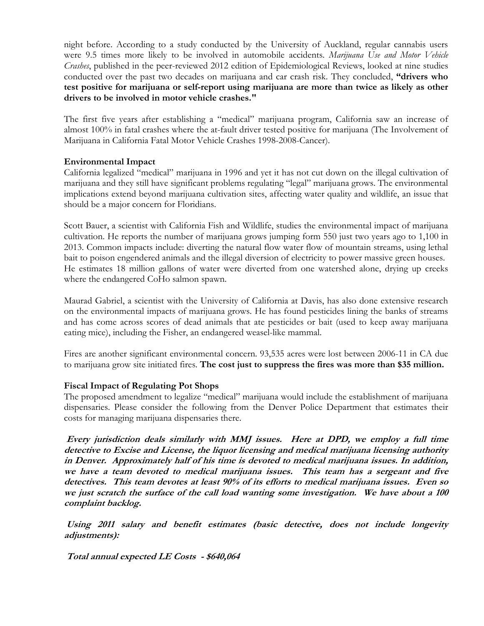night before. According to a study conducted by the University of Auckland, regular cannabis users were 9.5 times more likely to be involved in automobile accidents. Marijuana Use and Motor Vehicle Crashes, published in the peer-reviewed 2012 edition of Epidemiological Reviews, looked at nine studies conducted over the past two decades on marijuana and car crash risk. They concluded, "drivers who test positive for marijuana or self-report using marijuana are more than twice as likely as other drivers to be involved in motor vehicle crashes."

The first five years after establishing a "medical" marijuana program, California saw an increase of almost 100% in fatal crashes where the at-fault driver tested positive for marijuana (The Involvement of Marijuana in California Fatal Motor Vehicle Crashes 1998-2008-Cancer).

### Environmental Impact

California legalized "medical" marijuana in 1996 and yet it has not cut down on the illegal cultivation of marijuana and they still have significant problems regulating "legal" marijuana grows. The environmental implications extend beyond marijuana cultivation sites, affecting water quality and wildlife, an issue that should be a major concern for Floridians.

Scott Bauer, a scientist with California Fish and Wildlife, studies the environmental impact of marijuana cultivation. He reports the number of marijuana grows jumping form 550 just two years ago to 1,100 in 2013. Common impacts include: diverting the natural flow water flow of mountain streams, using lethal bait to poison engendered animals and the illegal diversion of electricity to power massive green houses. He estimates 18 million gallons of water were diverted from one watershed alone, drying up creeks where the endangered CoHo salmon spawn.

Maurad Gabriel, a scientist with the University of California at Davis, has also done extensive research on the environmental impacts of marijuana grows. He has found pesticides lining the banks of streams and has come across scores of dead animals that ate pesticides or bait (used to keep away marijuana eating mice), including the Fisher, an endangered weasel-like mammal.

Fires are another significant environmental concern. 93,535 acres were lost between 2006-11 in CA due to marijuana grow site initiated fires. The cost just to suppress the fires was more than \$35 million.

### Fiscal Impact of Regulating Pot Shops

The proposed amendment to legalize "medical" marijuana would include the establishment of marijuana dispensaries. Please consider the following from the Denver Police Department that estimates their costs for managing marijuana dispensaries there.

Every jurisdiction deals similarly with MMJ issues. Here at DPD, we employ a full time detective to Excise and License, the liquor licensing and medical marijuana licensing authority in Denver. Approximately half of his time is devoted to medical marijuana issues. In addition, we have a team devoted to medical marijuana issues. This team has a sergeant and five detectives. This team devotes at least 90% of its efforts to medical marijuana issues. Even so we just scratch the surface of the call load wanting some investigation. We have about a 100 complaint backlog.

 Using 2011 salary and benefit estimates (basic detective, does not include longevity adjustments):

Total annual expected LE Costs - \$640,064